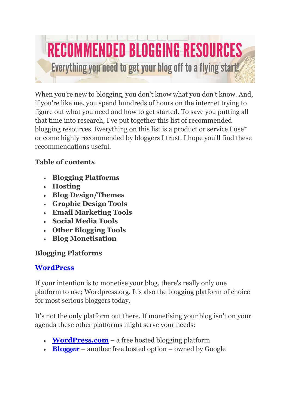

When you're new to blogging, you don't know what you don't know. And, if you're like me, you spend hundreds of hours on the internet trying to figure out what you need and how to get started. To save you putting all that time into research, I've put together this list of recommended blogging resources. Everything on this list is a product or service I use\* or come highly recommended by bloggers I trust. I hope you'll find these recommendations useful.

## **Table of contents**

- **Blogging Platforms**
- **Hosting**
- **Blog Design/Themes**
- **Graphic Design Tools**
- **Email Marketing Tools**
- **Social Media Tools**
- **Other Blogging Tools**
- **Blog Monetisation**

# **Blogging Platforms**

# **[WordPress](http://www.wordpress.org/)**

If your intention is to monetise your blog, there's really only one platform to use; Wordpress.org. It's also the blogging platform of choice for most serious bloggers today.

It's not the only platform out there. If monetising your blog isn't on your agenda these other platforms might serve your needs:

- **[WordPress.com](http://wordpress.com/)** a free hosted blogging platform
- **[Blogger](http://www.blogger.com/)** another free hosted option owned by Google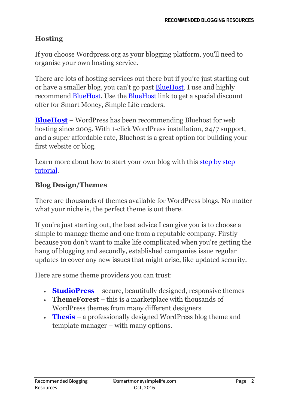# **Hosting**

If you choose Wordpress.org as your blogging platform, you'll need to organise your own hosting service.

There are lots of hosting services out there but if you're just starting out or have a smaller blog, you can't go past [BlueHost.](http://www.bluehost.com/track/smartmoneysimplelife) I use and highly recommend [BlueHost.](http://www.bluehost.com/track/smartmoneysimplelife) Use the [BlueHost](http://www.bluehost.com/track/smartmoneysimplelife) link to get a special discount offer for Smart Money, Simple Life readers.

**[BlueHost](http://www.bluehost.com/track/problogger)** – WordPress has been recommending Bluehost for web hosting since 2005. With 1-click WordPress installation, 24/7 support, and a super affordable rate, Bluehost is a great option for building your first website or blog.

Learn more about how to start your own blog with this [step by step](http://smartmoneysimplelife.com/how-to-start-a-blog/)  [tutorial.](http://smartmoneysimplelife.com/how-to-start-a-blog/)

## **Blog Design/Themes**

There are thousands of themes available for WordPress blogs. No matter what your niche is, the perfect theme is out there.

If you're just starting out, the best advice I can give you is to choose a simple to manage theme and one from a reputable company. Firstly because you don't want to make life complicated when you're getting the hang of blogging and secondly, established companies issue regular updates to cover any new issues that might arise, like updated security.

Here are some theme providers you can trust:

- **[StudioPress](http://www.shareasale.com/r.cfm?b=241369&u=1265308&m=28169&urllink=&afftrack=)** secure, beautifully designed, responsive themes
- **ThemeForest** this is a marketplace with thousands of WordPress themes from many different designers
- **[Thesis](http://www.shareasale.com/r.cfm?B=198392&U=1265308&M=24570&urllink=)** a professionally designed WordPress blog theme and template manager – with many options.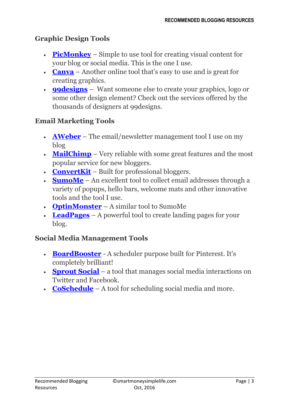## **Graphic Design Tools**

- **[PicMonkey](http://www.shareasale.com/r.cfm?B=460974&U=1265308&M=46133&urllink=)** Simple to use tool for creating visual content for your blog or social media. This is the one I use.
- **[Canva](https://www.canva.com/)** Another online tool that's easy to use and is great for creating graphics.
- **[99designs](http://99designs.com/)** Want someone else to create your graphics, logo or some other design element? Check out the services offered by the thousands of designers at 99designs.

### **Email Marketing Tools**

- **[AWeber](http://www.aweber.com/?223720)** The email/newsletter management tool I use on my blog
- **[MailChimp](http://mailchimp.com/)** Very reliable with some great features and the most popular service for new bloggers.
- **[ConvertKit](https://convertkit.com/)** Built for professional bloggers.
- **[SumoMe](https://sumome.com/)** An excellent tool to collect email addresses through a variety of popups, hello bars, welcome mats and other innovative tools and the tool I use.
- **[OptinMonster](http://www.shareasale.com/r.cfm?B=601672&U=1265308&M=49337&urllink=)** A similar tool to SumoMe
- **[LeadPages](https://www.leadpages.net/)** A powerful tool to create landing pages for your blog.

### **Social Media Management Tools**

- **[BoardBooster](https://boardbooster.com/invite/QXJGQ)** A scheduler purpose built for Pinterest. It's completely brilliant!
- **[Sprout Social](http://sproutsocial.com/)** a tool that manages social media interactions on Twitter and Facebook.
- **[CoSchedule](http://coschedule.com/)** A tool for scheduling social media and more.